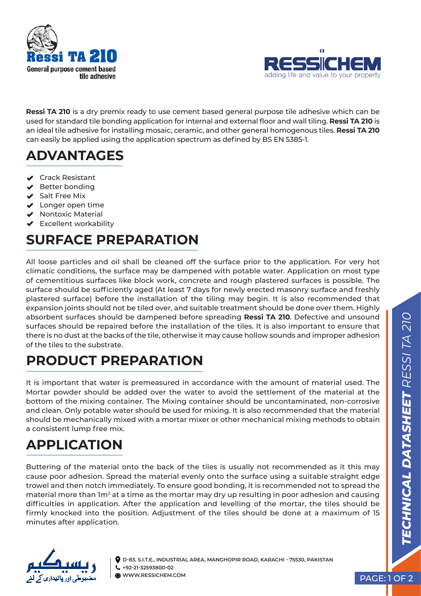



**Ressi TA 210** is a dry premix ready to use cement based general purpose tile adhesive which can be used for standard tile bonding application for internal and external floor and wall tiling. **Ressi TA 210** is an ideal tile adhesive for installing mosaic, ceramic, and other general homogenous tiles. **Ressi TA 210** can easily be applied using the application spectrum as defined by BS EN 5385-1.

## **ADVANTAGES**

- **▲** Crack Resistant
- V Better bonding
- $\blacktriangleright$  Salt Free Mix
- ◆ Longer open time
- **Nontoxic Material**
- Excellent workability

## **SURFACE PREPARATION**

All loose particles and oil shall be cleaned off the surface prior to the application. For very hot climatic conditions, the surface may be dampened with potable water. Application on most type of cementitious surfaces like block work, concrete and rough plastered surfaces is possible. The surface should be sufficiently aged (At least 7 days for newly erected masonry surface and freshly plastered surface) before the installation of the tiling may begin. It is also recommended that expansion joints should not be tiled over, and suitable treatment should be done over them. Highly absorbent surfaces should be dampened before spreading **Ressi TA 210**. Defective and unsound surfaces should be repaired before the installation of the tiles. It is also important to ensure that there is no dust at the backs of the tile, otherwise it may cause hollow sounds and improper adhesion of the tiles to the substrate.

#### **PRODUCT PREPARATION**

It is important that water is premeasured in accordance with the amount of material used. The Mortar powder should be added over the water to avoid the settlement of the material at the bottom of the mixing container. The Mixing container should be uncontaminated, non-corrosive and clean. Only potable water should be used for mixing. It is also recommended that the material should be mechanically mixed with a mortar mixer or other mechanical mixing methods to obtain a consistent lump free mix.

## **APPLICATION**

Buttering of the material onto the back of the tiles is usually not recommended as it this may cause poor adhesion. Spread the material evenly onto the surface using a suitable straight edge trowel and then notch immediately. To ensure good bonding, it is recommended not to spread the material more than 1m<sup>2</sup> at a time as the mortar may dry up resulting in poor adhesion and causing difficulties in application. After the application and levelling of the mortar, the tiles should be firmly knocked into the position. Adjustment of the tiles should be done at a maximum of 15 minutes after application.



**D-83, S.I.T.E., INDUSTRIAL AREA, MANGHOPIR ROAD, KARACHI - 75530, PAKISTAN +92-21-32593800-02 WWW.RESSICHEM.COM** PAGE: 1 OF 2